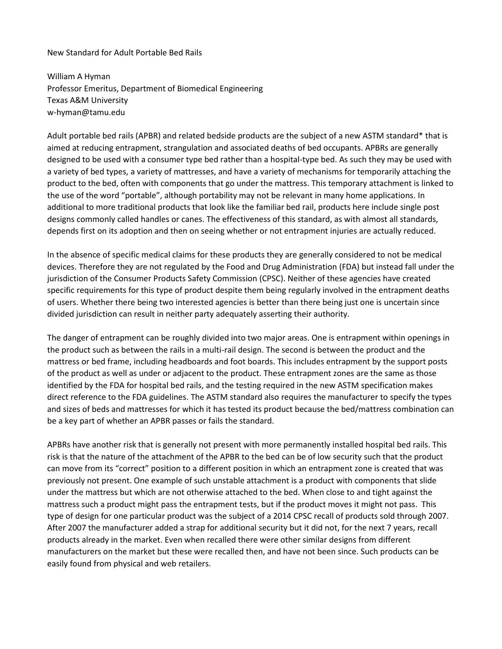New Standard for Adult Portable Bed Rails

William A Hyman Professor Emeritus, Department of Biomedical Engineering Texas A&M University w-hyman@tamu.edu

Adult portable bed rails (APBR) and related bedside products are the subject of a new ASTM standard\* that is aimed at reducing entrapment, strangulation and associated deaths of bed occupants. APBRs are generally designed to be used with a consumer type bed rather than a hospital-type bed. As such they may be used with a variety of bed types, a variety of mattresses, and have a variety of mechanisms for temporarily attaching the product to the bed, often with components that go under the mattress. This temporary attachment is linked to the use of the word "portable", although portability may not be relevant in many home applications. In additional to more traditional products that look like the familiar bed rail, products here include single post designs commonly called handles or canes. The effectiveness of this standard, as with almost all standards, depends first on its adoption and then on seeing whether or not entrapment injuries are actually reduced.

In the absence of specific medical claims for these products they are generally considered to not be medical devices. Therefore they are not regulated by the Food and Drug Administration (FDA) but instead fall under the jurisdiction of the Consumer Products Safety Commission (CPSC). Neither of these agencies have created specific requirements for this type of product despite them being regularly involved in the entrapment deaths of users. Whether there being two interested agencies is better than there being just one is uncertain since divided jurisdiction can result in neither party adequately asserting their authority.

The danger of entrapment can be roughly divided into two major areas. One is entrapment within openings in the product such as between the rails in a multi-rail design. The second is between the product and the mattress or bed frame, including headboards and foot boards. This includes entrapment by the support posts of the product as well as under or adjacent to the product. These entrapment zones are the same as those identified by the FDA for hospital bed rails, and the testing required in the new ASTM specification makes direct reference to the FDA guidelines. The ASTM standard also requires the manufacturer to specify the types and sizes of beds and mattresses for which it has tested its product because the bed/mattress combination can be a key part of whether an APBR passes or fails the standard.

APBRs have another risk that is generally not present with more permanently installed hospital bed rails. This risk is that the nature of the attachment of the APBR to the bed can be of low security such that the product can move from its "correct" position to a different position in which an entrapment zone is created that was previously not present. One example of such unstable attachment is a product with components that slide under the mattress but which are not otherwise attached to the bed. When close to and tight against the mattress such a product might pass the entrapment tests, but if the product moves it might not pass. This type of design for one particular product was the subject of a 2014 CPSC recall of products sold through 2007. After 2007 the manufacturer added a strap for additional security but it did not, for the next 7 years, recall products already in the market. Even when recalled there were other similar designs from different manufacturers on the market but these were recalled then, and have not been since. Such products can be easily found from physical and web retailers.